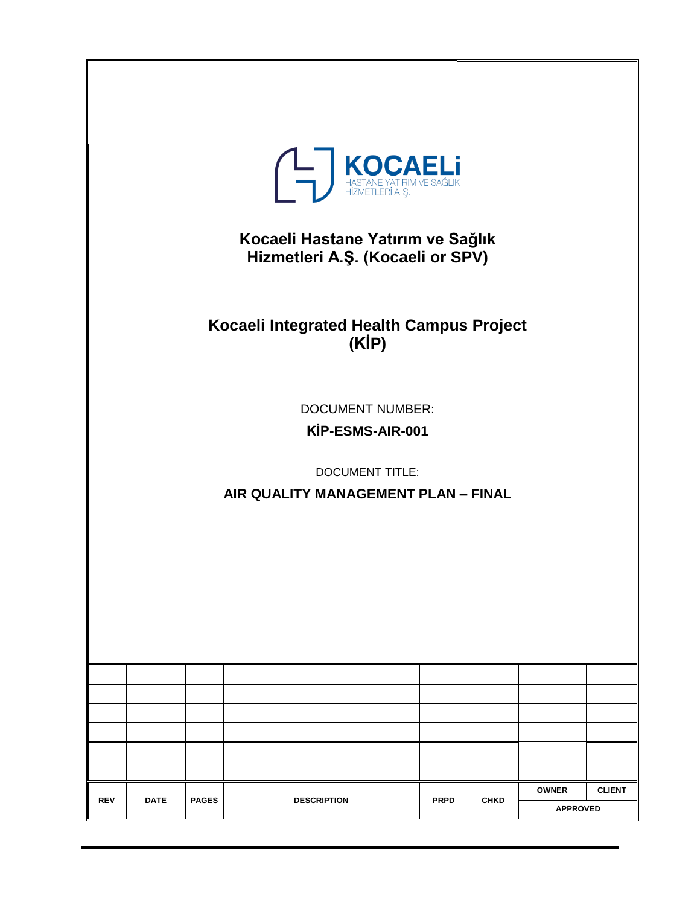|            |             |              | <b>THASTANE YATIRIM VE SAĞLIK</b><br>HASTANE YATIRIM VE SAĞLIK<br>Kocaeli Hastane Yatırım ve Sağlık<br>Hizmetleri A.Ş. (Kocaeli or SPV)<br>Kocaeli Integrated Health Campus Project<br>(KIP)<br><b>DOCUMENT NUMBER:</b><br>KİP-ESMS-AIR-001<br><b>DOCUMENT TITLE:</b><br>AIR QUALITY MANAGEMENT PLAN - FINAL |             |             |              |                 |               |
|------------|-------------|--------------|--------------------------------------------------------------------------------------------------------------------------------------------------------------------------------------------------------------------------------------------------------------------------------------------------------------|-------------|-------------|--------------|-----------------|---------------|
|            |             |              |                                                                                                                                                                                                                                                                                                              |             |             |              |                 |               |
|            |             |              |                                                                                                                                                                                                                                                                                                              |             |             |              |                 |               |
|            |             |              |                                                                                                                                                                                                                                                                                                              |             |             |              |                 |               |
|            |             |              |                                                                                                                                                                                                                                                                                                              |             |             |              |                 |               |
|            |             |              |                                                                                                                                                                                                                                                                                                              |             |             |              |                 |               |
|            |             |              |                                                                                                                                                                                                                                                                                                              |             |             | <b>OWNER</b> |                 | <b>CLIENT</b> |
| <b>REV</b> | <b>DATE</b> | <b>PAGES</b> | <b>DESCRIPTION</b>                                                                                                                                                                                                                                                                                           | <b>PRPD</b> | <b>CHKD</b> |              | <b>APPROVED</b> |               |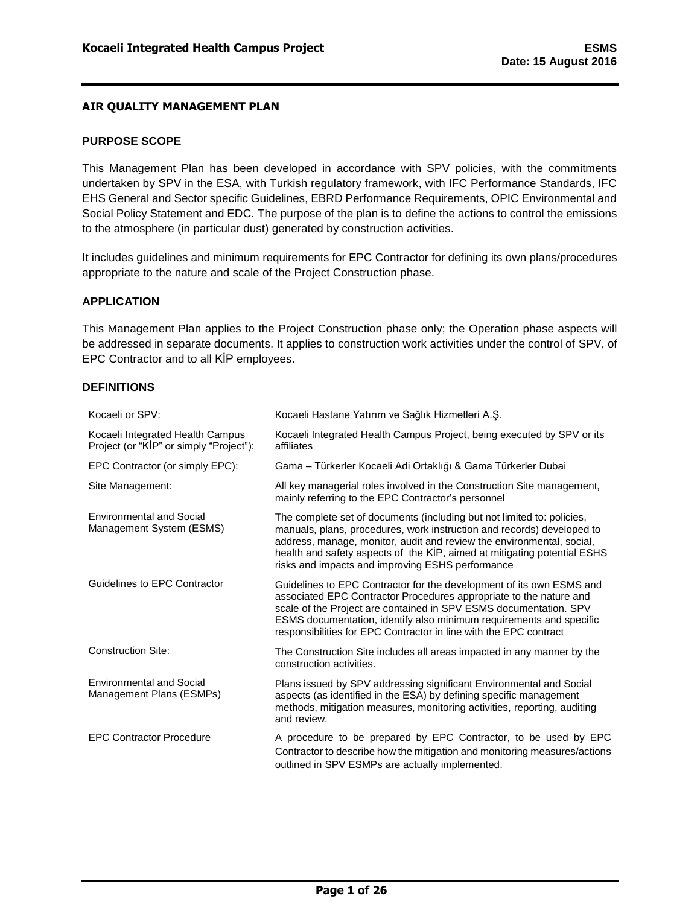### <span id="page-1-0"></span>**PURPOSE SCOPE**

This Management Plan has been developed in accordance with SPV policies, with the commitments undertaken by SPV in the ESA, with Turkish regulatory framework, with IFC Performance Standards, IFC EHS General and Sector specific Guidelines, EBRD Performance Requirements, OPIC Environmental and Social Policy Statement and EDC. The purpose of the plan is to define the actions to control the emissions to the atmosphere (in particular dust) generated by construction activities.

It includes guidelines and minimum requirements for EPC Contractor for defining its own plans/procedures appropriate to the nature and scale of the Project Construction phase.

#### <span id="page-1-1"></span>**APPLICATION**

This Management Plan applies to the Project Construction phase only; the Operation phase aspects will be addressed in separate documents. It applies to construction work activities under the control of SPV, of EPC Contractor and to all KİP employees.

### <span id="page-1-2"></span>**DEFINITIONS**

| Kocaeli or SPV:                                                             | Kocaeli Hastane Yatırım ve Sağlık Hizmetleri A.Ş.                                                                                                                                                                                                                                                                                                           |
|-----------------------------------------------------------------------------|-------------------------------------------------------------------------------------------------------------------------------------------------------------------------------------------------------------------------------------------------------------------------------------------------------------------------------------------------------------|
| Kocaeli Integrated Health Campus<br>Project (or "KIP" or simply "Project"): | Kocaeli Integrated Health Campus Project, being executed by SPV or its<br>affiliates                                                                                                                                                                                                                                                                        |
| EPC Contractor (or simply EPC):                                             | Gama - Türkerler Kocaeli Adi Ortaklığı & Gama Türkerler Dubai                                                                                                                                                                                                                                                                                               |
| Site Management:                                                            | All key managerial roles involved in the Construction Site management,<br>mainly referring to the EPC Contractor's personnel                                                                                                                                                                                                                                |
| <b>Environmental and Social</b><br>Management System (ESMS)                 | The complete set of documents (including but not limited to: policies,<br>manuals, plans, procedures, work instruction and records) developed to<br>address, manage, monitor, audit and review the environmental, social,<br>health and safety aspects of the KİP, aimed at mitigating potential ESHS<br>risks and impacts and improving ESHS performance   |
| Guidelines to EPC Contractor                                                | Guidelines to EPC Contractor for the development of its own ESMS and<br>associated EPC Contractor Procedures appropriate to the nature and<br>scale of the Project are contained in SPV ESMS documentation. SPV<br>ESMS documentation, identify also minimum requirements and specific<br>responsibilities for EPC Contractor in line with the EPC contract |
| <b>Construction Site:</b>                                                   | The Construction Site includes all areas impacted in any manner by the<br>construction activities.                                                                                                                                                                                                                                                          |
| <b>Environmental and Social</b><br>Management Plans (ESMPs)                 | Plans issued by SPV addressing significant Environmental and Social<br>aspects (as identified in the ESA) by defining specific management<br>methods, mitigation measures, monitoring activities, reporting, auditing<br>and review.                                                                                                                        |
| <b>EPC Contractor Procedure</b>                                             | A procedure to be prepared by EPC Contractor, to be used by EPC<br>Contractor to describe how the mitigation and monitoring measures/actions<br>outlined in SPV ESMPs are actually implemented.                                                                                                                                                             |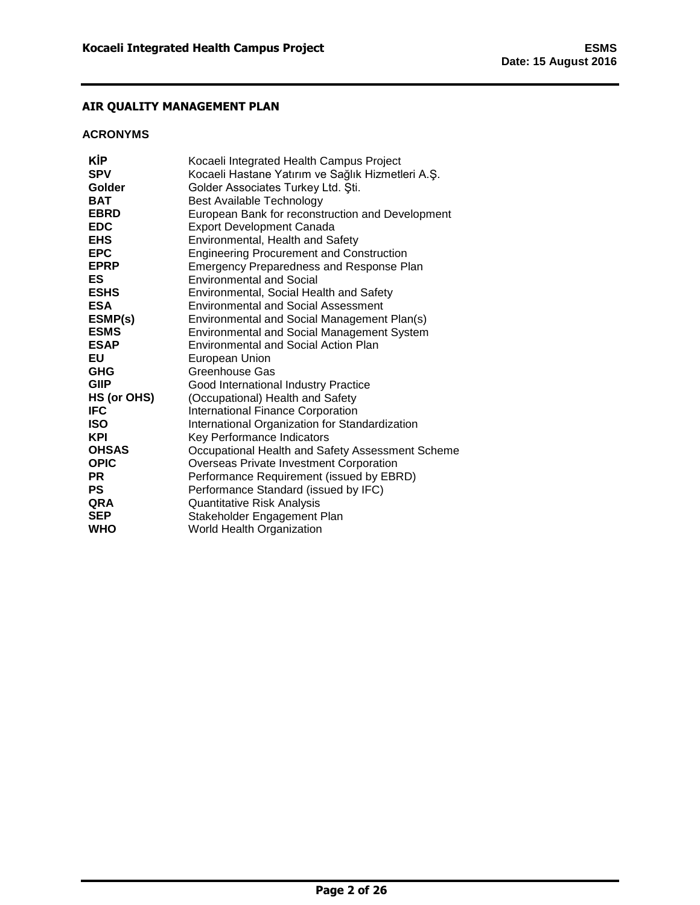## <span id="page-2-0"></span>**ACRONYMS**

| KİP          | Kocaeli Integrated Health Campus Project          |
|--------------|---------------------------------------------------|
| <b>SPV</b>   | Kocaeli Hastane Yatırım ve Sağlık Hizmetleri A.Ş. |
| Golder       | Golder Associates Turkey Ltd. Sti.                |
| BAT          | Best Available Technology                         |
| <b>EBRD</b>  | European Bank for reconstruction and Development  |
| <b>EDC</b>   | <b>Export Development Canada</b>                  |
| <b>EHS</b>   | Environmental, Health and Safety                  |
| <b>EPC</b>   | <b>Engineering Procurement and Construction</b>   |
| <b>EPRP</b>  | Emergency Preparedness and Response Plan          |
| ES           | <b>Environmental and Social</b>                   |
| <b>ESHS</b>  | Environmental, Social Health and Safety           |
| ESA          | <b>Environmental and Social Assessment</b>        |
| ESMP(s)      | Environmental and Social Management Plan(s)       |
| <b>ESMS</b>  | Environmental and Social Management System        |
| <b>ESAP</b>  | <b>Environmental and Social Action Plan</b>       |
| EU           | European Union                                    |
| GHG          | Greenhouse Gas                                    |
| <b>GIIP</b>  | Good International Industry Practice              |
| HS (or OHS)  | (Occupational) Health and Safety                  |
| IFC          | <b>International Finance Corporation</b>          |
| ISO          | International Organization for Standardization    |
| KPI          | Key Performance Indicators                        |
| <b>OHSAS</b> | Occupational Health and Safety Assessment Scheme  |
| <b>OPIC</b>  | Overseas Private Investment Corporation           |
| PR           | Performance Requirement (issued by EBRD)          |
| PS           | Performance Standard (issued by IFC)              |
| QRA          | Quantitative Risk Analysis                        |
| <b>SEP</b>   | Stakeholder Engagement Plan                       |
| WHO          | World Health Organization                         |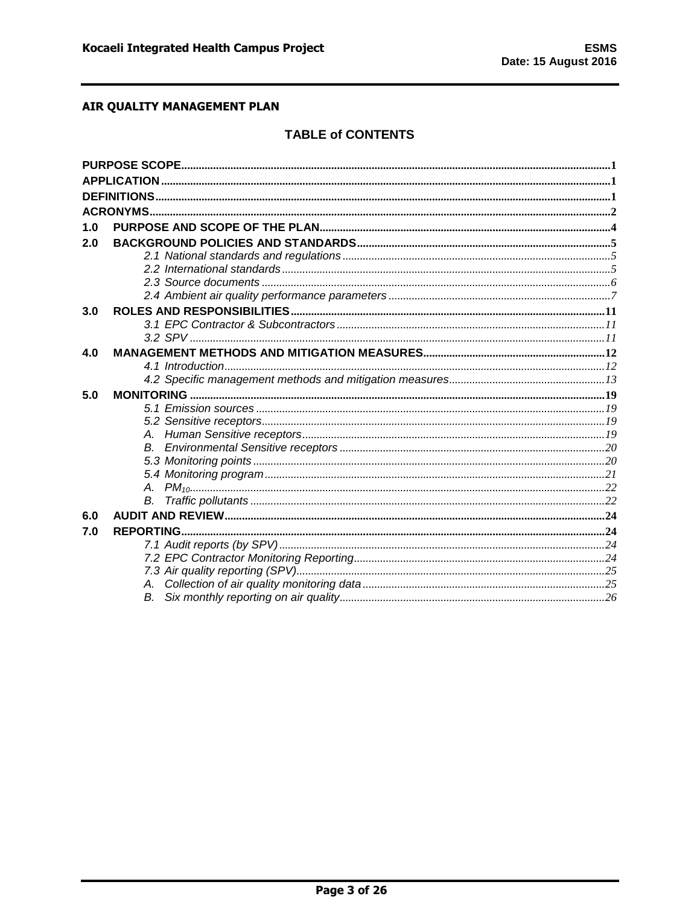# **TABLE of CONTENTS**

| 1.0 |  |
|-----|--|
| 2.0 |  |
|     |  |
|     |  |
|     |  |
|     |  |
| 3.0 |  |
|     |  |
|     |  |
| 4.0 |  |
|     |  |
|     |  |
| 5.0 |  |
|     |  |
|     |  |
|     |  |
|     |  |
|     |  |
|     |  |
|     |  |
|     |  |
| 6.0 |  |
| 7.0 |  |
|     |  |
|     |  |
|     |  |
|     |  |
|     |  |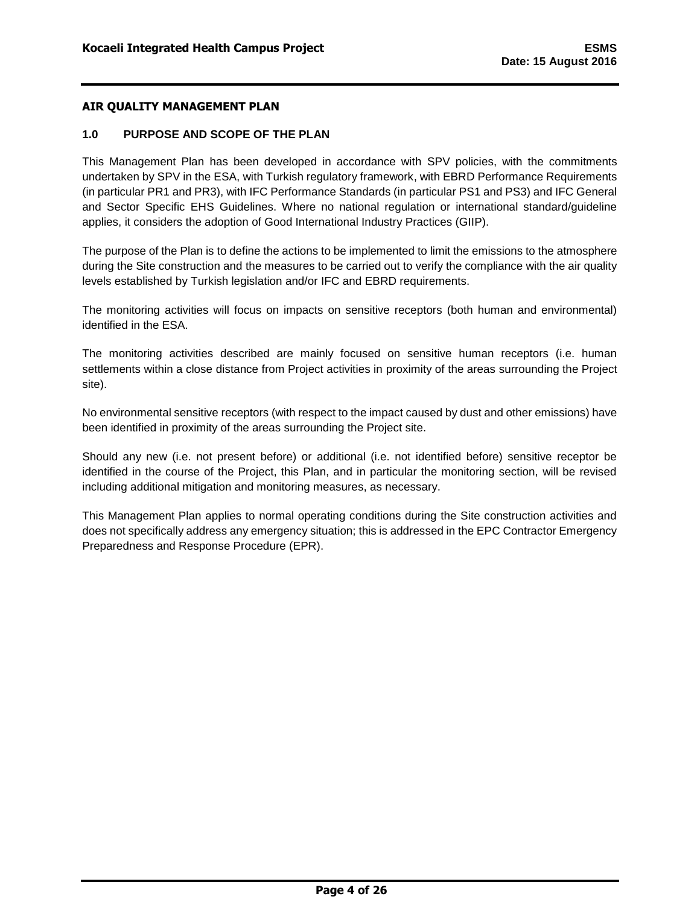### <span id="page-4-0"></span>**1.0 PURPOSE AND SCOPE OF THE PLAN**

This Management Plan has been developed in accordance with SPV policies, with the commitments undertaken by SPV in the ESA, with Turkish regulatory framework, with EBRD Performance Requirements (in particular PR1 and PR3), with IFC Performance Standards (in particular PS1 and PS3) and IFC General and Sector Specific EHS Guidelines. Where no national regulation or international standard/guideline applies, it considers the adoption of Good International Industry Practices (GIIP).

The purpose of the Plan is to define the actions to be implemented to limit the emissions to the atmosphere during the Site construction and the measures to be carried out to verify the compliance with the air quality levels established by Turkish legislation and/or IFC and EBRD requirements.

The monitoring activities will focus on impacts on sensitive receptors (both human and environmental) identified in the ESA.

The monitoring activities described are mainly focused on sensitive human receptors (i.e. human settlements within a close distance from Project activities in proximity of the areas surrounding the Project site).

No environmental sensitive receptors (with respect to the impact caused by dust and other emissions) have been identified in proximity of the areas surrounding the Project site.

Should any new (i.e. not present before) or additional (i.e. not identified before) sensitive receptor be identified in the course of the Project, this Plan, and in particular the monitoring section, will be revised including additional mitigation and monitoring measures, as necessary.

This Management Plan applies to normal operating conditions during the Site construction activities and does not specifically address any emergency situation; this is addressed in the EPC Contractor Emergency Preparedness and Response Procedure (EPR).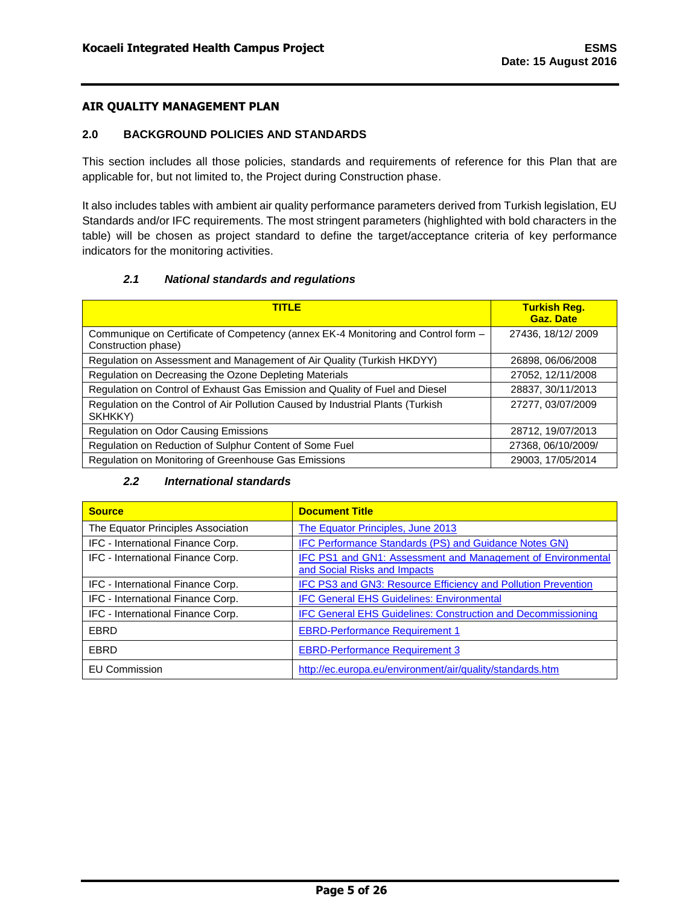### <span id="page-5-0"></span>**2.0 BACKGROUND POLICIES AND STANDARDS**

This section includes all those policies, standards and requirements of reference for this Plan that are applicable for, but not limited to, the Project during Construction phase.

It also includes tables with ambient air quality performance parameters derived from Turkish legislation, EU Standards and/or IFC requirements. The most stringent parameters (highlighted with bold characters in the table) will be chosen as project standard to define the target/acceptance criteria of key performance indicators for the monitoring activities.

## *2.1 National standards and regulations*

<span id="page-5-1"></span>

| <b>TITLE</b>                                                                                             | <b>Turkish Req.</b><br><b>Gaz. Date</b> |
|----------------------------------------------------------------------------------------------------------|-----------------------------------------|
| Communique on Certificate of Competency (annex EK-4 Monitoring and Control form -<br>Construction phase) | 27436, 18/12/2009                       |
| Regulation on Assessment and Management of Air Quality (Turkish HKDYY)                                   | 26898, 06/06/2008                       |
| Regulation on Decreasing the Ozone Depleting Materials                                                   | 27052, 12/11/2008                       |
| Regulation on Control of Exhaust Gas Emission and Quality of Fuel and Diesel                             | 28837, 30/11/2013                       |
| Regulation on the Control of Air Pollution Caused by Industrial Plants (Turkish<br>SKHKKY)               | 27277, 03/07/2009                       |
| <b>Regulation on Odor Causing Emissions</b>                                                              | 28712, 19/07/2013                       |
| Regulation on Reduction of Sulphur Content of Some Fuel                                                  | 27368, 06/10/2009/                      |
| Regulation on Monitoring of Greenhouse Gas Emissions                                                     | 29003. 17/05/2014                       |

### *2.2 International standards*

<span id="page-5-2"></span>

| <b>Source</b>                      | <b>Document Title</b>                                                                       |
|------------------------------------|---------------------------------------------------------------------------------------------|
| The Equator Principles Association | The Equator Principles, June 2013                                                           |
| IFC - International Finance Corp.  | <b>IFC Performance Standards (PS) and Guidance Notes GN)</b>                                |
| IFC - International Finance Corp.  | IFC PS1 and GN1: Assessment and Management of Environmental<br>and Social Risks and Impacts |
| IFC - International Finance Corp.  | IFC PS3 and GN3: Resource Efficiency and Pollution Prevention                               |
| IFC - International Finance Corp.  | <b>IFC General EHS Guidelines: Environmental</b>                                            |
| IFC - International Finance Corp.  | <b>IFC General EHS Guidelines: Construction and Decommissioning</b>                         |
| EBRD                               | <b>EBRD-Performance Requirement 1</b>                                                       |
| EBRD                               | <b>EBRD-Performance Requirement 3</b>                                                       |
| <b>EU Commission</b>               | http://ec.europa.eu/environment/air/quality/standards.htm                                   |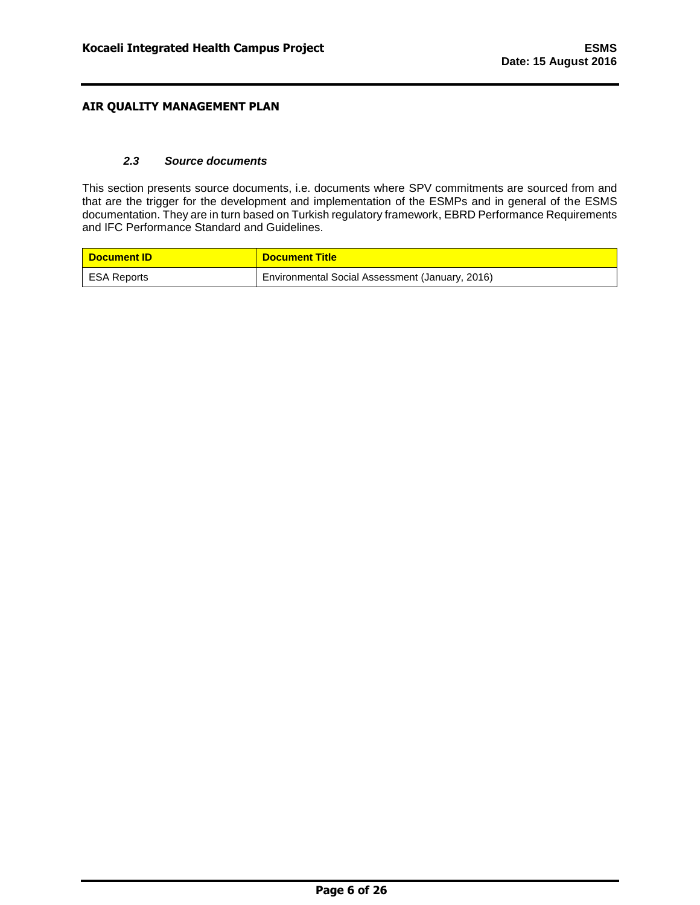### *2.3 Source documents*

<span id="page-6-0"></span>This section presents source documents, i.e. documents where SPV commitments are sourced from and that are the trigger for the development and implementation of the ESMPs and in general of the ESMS documentation. They are in turn based on Turkish regulatory framework, EBRD Performance Requirements and IFC Performance Standard and Guidelines.

| <b>Document ID</b> | <b>Document Title</b>                           |
|--------------------|-------------------------------------------------|
| I ESA Reports      | Environmental Social Assessment (January, 2016) |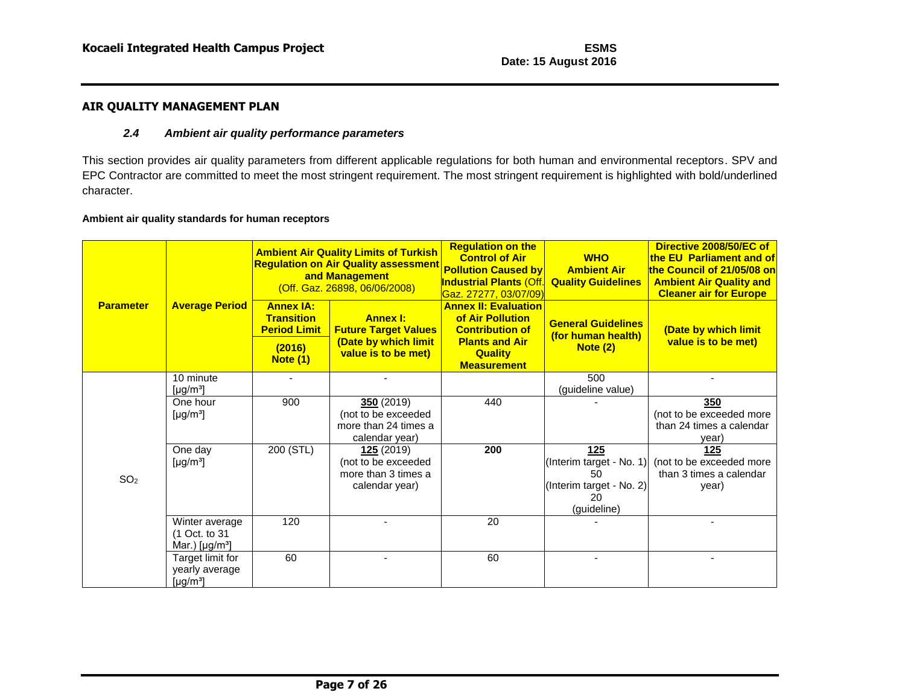### *2.4 Ambient air quality performance parameters*

This section provides air quality parameters from different applicable regulations for both human and environmental receptors. SPV and EPC Contractor are committed to meet the most stringent requirement. The most stringent requirement is highlighted with bold/underlined character.

#### **Ambient air quality standards for human receptors**

<span id="page-7-0"></span>

|                  |                                                                  |                                                              | <b>Ambient Air Quality Limits of Turkish</b><br><b>Regulation on Air Quality assessment</b><br>and Management<br>(Off. Gaz. 26898, 06/06/2008) | <b>Regulation on the</b><br><b>Control of Air</b><br><b>Pollution Caused by</b><br><mark>Industrial Plants (Off.</mark><br><mark>Gaz. 27277, 03/07/09)</mark> | <b>WHO</b><br><b>Ambient Air</b><br><b>Quality Guidelines</b>                          | Directive 2008/50/EC of<br>the EU Parliament and of<br>the Council of 21/05/08 on<br><b>Ambient Air Quality and</b><br><b>Cleaner air for Europe</b> |
|------------------|------------------------------------------------------------------|--------------------------------------------------------------|------------------------------------------------------------------------------------------------------------------------------------------------|---------------------------------------------------------------------------------------------------------------------------------------------------------------|----------------------------------------------------------------------------------------|------------------------------------------------------------------------------------------------------------------------------------------------------|
| <b>Parameter</b> | <b>Average Period</b>                                            | <b>Annex IA:</b><br><b>Transition</b><br><b>Period Limit</b> | <b>Annex I:</b><br><b>Future Target Values</b>                                                                                                 | <b>Annex II: Evaluation</b><br>of Air Pollution<br><b>Contribution of</b>                                                                                     | <b>General Guidelines</b><br>(for human health)                                        | (Date by which limit                                                                                                                                 |
|                  |                                                                  | (2016)<br><b>Note (1)</b>                                    | (Date by which limit<br>value is to be met)                                                                                                    | <b>Plants and Air</b><br><b>Quality</b><br><b>Measurement</b>                                                                                                 | Note (2)                                                                               | value is to be met)                                                                                                                                  |
|                  | 10 minute<br>[µg/m <sup>3</sup> ]                                |                                                              |                                                                                                                                                |                                                                                                                                                               | 500<br>(guideline value)                                                               |                                                                                                                                                      |
|                  | One hour<br>[ $\mu$ g/m <sup>3</sup> ]                           | 900                                                          | 350(2019)<br>(not to be exceeded<br>more than 24 times a<br>calendar year)                                                                     | 440                                                                                                                                                           |                                                                                        | 350<br>(not to be exceeded more<br>than 24 times a calendar<br>year)                                                                                 |
| SO <sub>2</sub>  | One day<br>[ $\mu$ g/m <sup>3</sup> ]                            | 200 (STL)                                                    | 125(2019)<br>(not to be exceeded<br>more than 3 times a<br>calendar year)                                                                      | 200                                                                                                                                                           | 125<br>(Interim target - No. 1)<br>50<br>(Interim target - No. 2)<br>20<br>(guideline) | 125<br>(not to be exceeded more<br>than 3 times a calendar<br>year)                                                                                  |
|                  | Winter average<br>(1 Oct. to 31<br>Mar.) $[\mu g/m^3]$           | 120                                                          |                                                                                                                                                | 20                                                                                                                                                            |                                                                                        |                                                                                                                                                      |
|                  | Target limit for<br>yearly average<br>[ $\mu$ g/m <sup>3</sup> ] | 60                                                           |                                                                                                                                                | 60                                                                                                                                                            |                                                                                        |                                                                                                                                                      |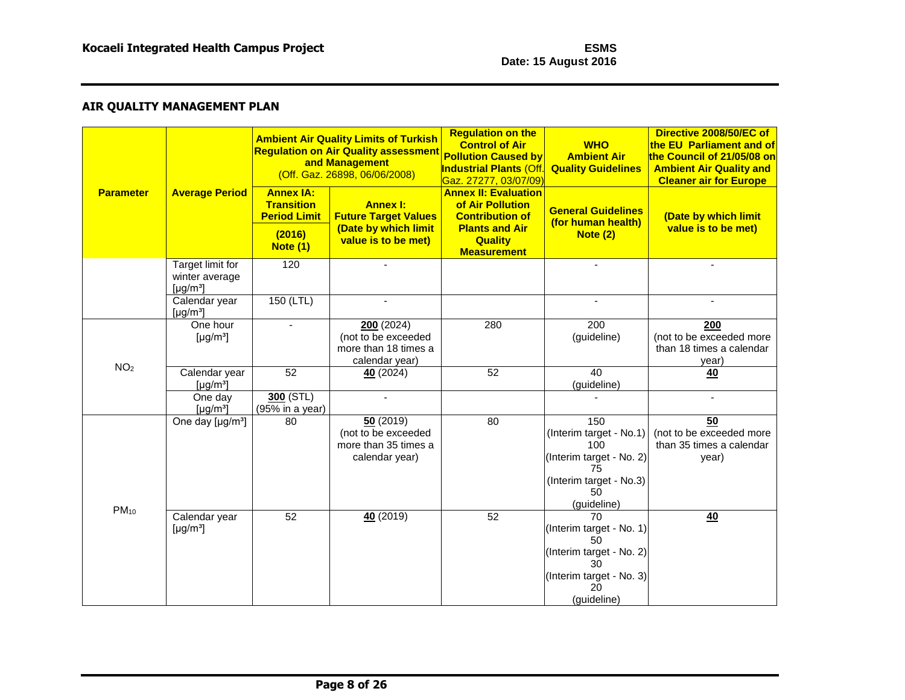| <b>Parameter</b> | <b>Average Period</b>                                            | <b>Annex IA:</b><br><b>Transition</b><br><b>Period Limit</b><br>(2016) | <b>Ambient Air Quality Limits of Turkish</b><br><b>Regulation on Air Quality assessment</b><br>and Management<br>(Off. Gaz. 26898, 06/06/2008)<br><b>Annex I:</b><br><b>Future Target Values</b><br>(Date by which limit | <b>Regulation on the</b><br><b>Control of Air</b><br><b>Pollution Caused by</b><br><b>Industrial Plants (Off.</b><br><u> Gaz. 27277, 03/07/09)</u><br><b>Annex II: Evaluation</b><br>of Air Pollution<br><b>Contribution of</b><br><b>Plants and Air</b> | <b>WHO</b><br><b>Ambient Air</b><br><b>Quality Guidelines</b><br><b>General Guidelines</b><br>(for human health)<br>Note $(2)$ | Directive 2008/50/EC of<br>the EU Parliament and of<br>the Council of 21/05/08 on<br><b>Ambient Air Quality and</b><br><b>Cleaner air for Europe</b><br>(Date by which limit<br>value is to be met) |
|------------------|------------------------------------------------------------------|------------------------------------------------------------------------|--------------------------------------------------------------------------------------------------------------------------------------------------------------------------------------------------------------------------|----------------------------------------------------------------------------------------------------------------------------------------------------------------------------------------------------------------------------------------------------------|--------------------------------------------------------------------------------------------------------------------------------|-----------------------------------------------------------------------------------------------------------------------------------------------------------------------------------------------------|
|                  |                                                                  | <b>Note (1)</b>                                                        | value is to be met)                                                                                                                                                                                                      | <b>Quality</b><br><b>Measurement</b>                                                                                                                                                                                                                     |                                                                                                                                |                                                                                                                                                                                                     |
|                  | Target limit for<br>winter average<br>[ $\mu$ g/m <sup>3</sup> ] | 120                                                                    |                                                                                                                                                                                                                          |                                                                                                                                                                                                                                                          | $\blacksquare$                                                                                                                 |                                                                                                                                                                                                     |
|                  | Calendar year<br>[ $\mu$ g/m <sup>3</sup> ]                      | $150$ (LTL)                                                            |                                                                                                                                                                                                                          |                                                                                                                                                                                                                                                          |                                                                                                                                |                                                                                                                                                                                                     |
|                  | One hour<br>[ $\mu$ g/m <sup>3</sup> ]                           |                                                                        | 200(2024)<br>(not to be exceeded<br>more than 18 times a<br>calendar year)                                                                                                                                               | 280                                                                                                                                                                                                                                                      | $\overline{200}$<br>(guideline)                                                                                                | 200<br>(not to be exceeded more<br>than 18 times a calendar<br>year)                                                                                                                                |
| NO <sub>2</sub>  | Calendar year<br>$[\mu g/m^3]$                                   | 52                                                                     | 40(2024)                                                                                                                                                                                                                 | 52                                                                                                                                                                                                                                                       | 40<br>(guideline)                                                                                                              | 40                                                                                                                                                                                                  |
|                  | One day<br>$\left[\mu g/m^3\right]$                              | $300$ (STL)<br>(95% in a year)                                         |                                                                                                                                                                                                                          |                                                                                                                                                                                                                                                          |                                                                                                                                | $\overline{a}$                                                                                                                                                                                      |
| $PM_{10}$        | One day [µg/m <sup>3</sup> ]                                     | 80                                                                     | 50(2019)<br>(not to be exceeded<br>more than 35 times a<br>calendar year)                                                                                                                                                | 80                                                                                                                                                                                                                                                       | 150<br>(Interim target - No.1)<br>100<br>(Interim target - No. 2)<br>75<br>(Interim target - No.3)<br>50<br>(guideline)        | $\overline{50}$<br>(not to be exceeded more<br>than 35 times a calendar<br>year)                                                                                                                    |
|                  | Calendar year<br>[ $\mu$ g/m <sup>3</sup> ]                      | 52                                                                     | 40(2019)                                                                                                                                                                                                                 | 52                                                                                                                                                                                                                                                       | 70<br>(Interim target - No. 1)<br>50<br>(Interim target - No. 2)<br>30<br>(Interim target - No. 3)<br>20<br>(guideline)        | 40                                                                                                                                                                                                  |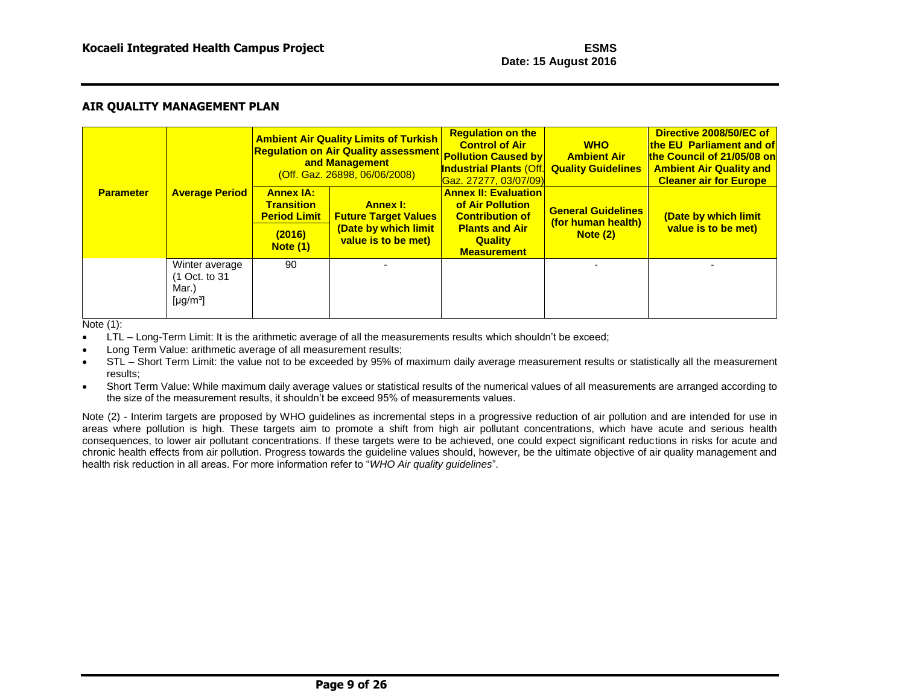|                  |                                                                  |                                                                                           | <b>Ambient Air Quality Limits of Turkish</b><br><b>Regulation on Air Quality assessment Pollution Caused by</b><br>and Management<br>(Off. Gaz. 26898, 06/06/2008) | <b>Regulation on the</b><br><b>Control of Air</b><br><b>Industrial Plants (Off.</b><br>Gaz. 27277, 03/07/09)                               | <b>WHO</b><br><b>Ambient Air</b><br><b>Quality Guidelines</b> | Directive 2008/50/EC of<br><b>the EU Parliament and of</b><br>the Council of 21/05/08 on<br><b>Ambient Air Quality and</b><br><b>Cleaner air for Europe</b> |
|------------------|------------------------------------------------------------------|-------------------------------------------------------------------------------------------|--------------------------------------------------------------------------------------------------------------------------------------------------------------------|--------------------------------------------------------------------------------------------------------------------------------------------|---------------------------------------------------------------|-------------------------------------------------------------------------------------------------------------------------------------------------------------|
| <b>Parameter</b> | <b>Average Period</b>                                            | <b>Annex IA:</b><br><b>Transition</b><br><b>Period Limit</b><br>(2016)<br><b>Note (1)</b> | <b>Annex I:</b><br><b>Future Target Values</b><br>(Date by which limit<br>value is to be met)                                                                      | <b>Annex II: Evaluation</b><br>of Air Pollution<br><b>Contribution of</b><br><b>Plants and Air</b><br><b>Quality</b><br><b>Measurement</b> | <b>General Guidelines</b><br>(for human health)<br>Note (2)   | (Date by which limit<br>value is to be met)                                                                                                                 |
|                  | Winter average<br>(1 Oct. to 31<br>Mar.)<br>[µg/m <sup>3</sup> ] | 90                                                                                        |                                                                                                                                                                    |                                                                                                                                            |                                                               |                                                                                                                                                             |

Note (1):

- LTL Long-Term Limit: It is the arithmetic average of all the measurements results which shouldn't be exceed;
- Long Term Value: arithmetic average of all measurement results;
- STL Short Term Limit: the value not to be exceeded by 95% of maximum daily average measurement results or statistically all the measurement results;
- Short Term Value: While maximum daily average values or statistical results of the numerical values of all measurements are arranged according to the size of the measurement results, it shouldn't be exceed 95% of measurements values.

Note (2) - Interim targets are proposed by WHO guidelines as incremental steps in a progressive reduction of air pollution and are intended for use in areas where pollution is high. These targets aim to promote a shift from high air pollutant concentrations, which have acute and serious health consequences, to lower air pollutant concentrations. If these targets were to be achieved, one could expect significant reductions in risks for acute and chronic health effects from air pollution. Progress towards the guideline values should, however, be the ultimate objective of air quality management and health risk reduction in all areas. For more information refer to "*WHO Air quality guidelines*".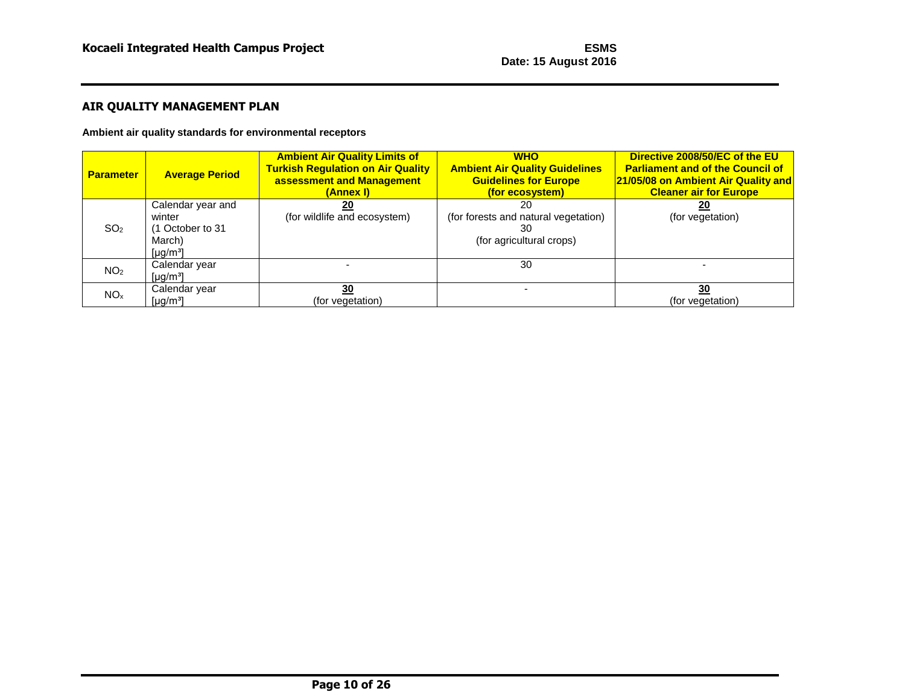**Ambient air quality standards for environmental receptors**

| <b>Parameter</b> | <b>Average Period</b>                                                             | <b>Ambient Air Quality Limits of</b><br><b>Turkish Regulation on Air Quality</b><br>assessment and Management<br>(Annex I) | <b>WHO</b><br><b>Ambient Air Quality Guidelines</b><br><b>Guidelines for Europe</b><br>(for ecosystem) | Directive 2008/50/EC of the EU<br><b>Parliament and of the Council of</b><br>21/05/08 on Ambient Air Quality and<br><b>Cleaner air for Europe</b> |
|------------------|-----------------------------------------------------------------------------------|----------------------------------------------------------------------------------------------------------------------------|--------------------------------------------------------------------------------------------------------|---------------------------------------------------------------------------------------------------------------------------------------------------|
| SO <sub>2</sub>  | Calendar year and<br>winter<br>(1 October to 31<br>March)<br>[µg/m <sup>3</sup> ] | 20<br>(for wildlife and ecosystem)                                                                                         | 20<br>(for forests and natural vegetation)<br>30<br>(for agricultural crops)                           | 20<br>(for vegetation)                                                                                                                            |
| NO <sub>2</sub>  | Calendar year<br>[µg/m <sup>3</sup> ]                                             |                                                                                                                            | 30                                                                                                     |                                                                                                                                                   |
| NO <sub>x</sub>  | Calendar year<br>[µg/m <sup>3</sup> ]                                             | 30<br>(for vegetation)                                                                                                     |                                                                                                        | 30<br>(for vegetation)                                                                                                                            |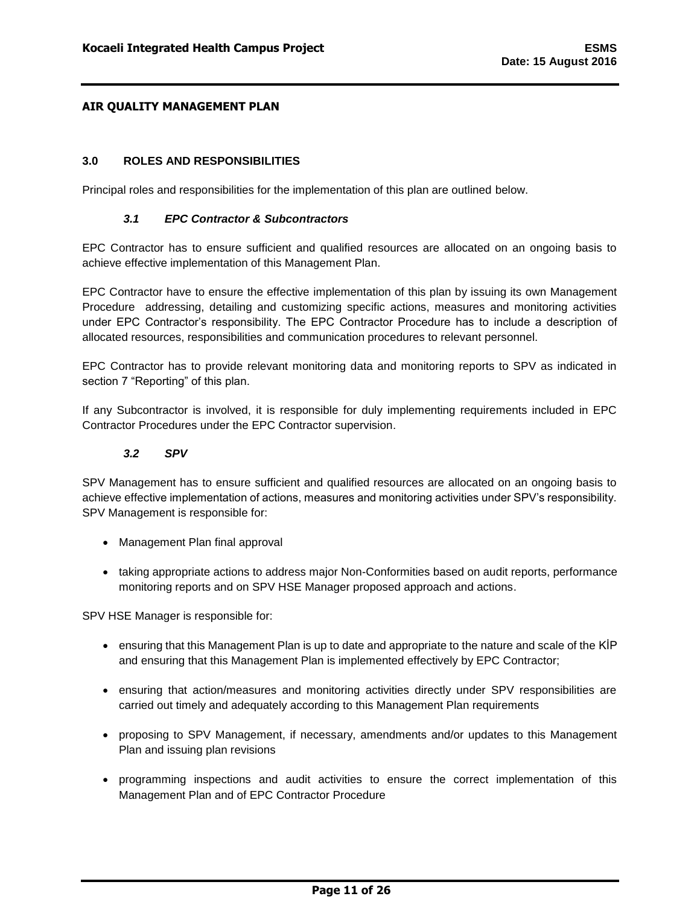### <span id="page-11-0"></span>**3.0 ROLES AND RESPONSIBILITIES**

<span id="page-11-1"></span>Principal roles and responsibilities for the implementation of this plan are outlined below.

### *3.1 EPC Contractor & Subcontractors*

EPC Contractor has to ensure sufficient and qualified resources are allocated on an ongoing basis to achieve effective implementation of this Management Plan.

EPC Contractor have to ensure the effective implementation of this plan by issuing its own Management Procedure addressing, detailing and customizing specific actions, measures and monitoring activities under EPC Contractor's responsibility. The EPC Contractor Procedure has to include a description of allocated resources, responsibilities and communication procedures to relevant personnel.

EPC Contractor has to provide relevant monitoring data and monitoring reports to SPV as indicated in section 7 "Reporting" of this plan.

If any Subcontractor is involved, it is responsible for duly implementing requirements included in EPC Contractor Procedures under the EPC Contractor supervision.

### *3.2 SPV*

<span id="page-11-2"></span>SPV Management has to ensure sufficient and qualified resources are allocated on an ongoing basis to achieve effective implementation of actions, measures and monitoring activities under SPV's responsibility. SPV Management is responsible for:

- Management Plan final approval
- taking appropriate actions to address major Non-Conformities based on audit reports, performance monitoring reports and on SPV HSE Manager proposed approach and actions.

SPV HSE Manager is responsible for:

- ensuring that this Management Plan is up to date and appropriate to the nature and scale of the KİP and ensuring that this Management Plan is implemented effectively by EPC Contractor;
- ensuring that action/measures and monitoring activities directly under SPV responsibilities are carried out timely and adequately according to this Management Plan requirements
- proposing to SPV Management, if necessary, amendments and/or updates to this Management Plan and issuing plan revisions
- programming inspections and audit activities to ensure the correct implementation of this Management Plan and of EPC Contractor Procedure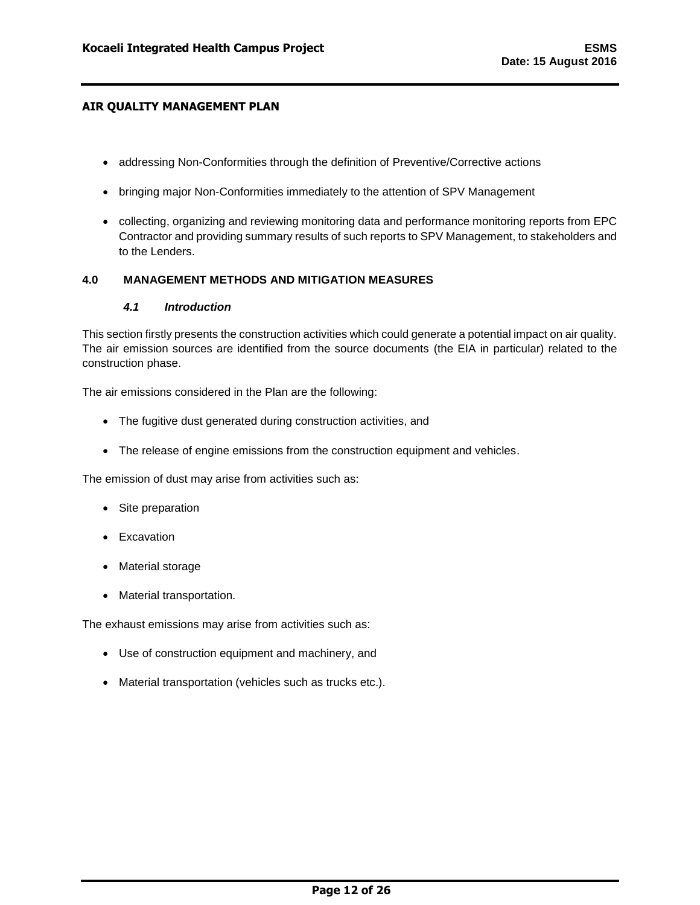- addressing Non-Conformities through the definition of Preventive/Corrective actions
- bringing major Non-Conformities immediately to the attention of SPV Management
- collecting, organizing and reviewing monitoring data and performance monitoring reports from EPC Contractor and providing summary results of such reports to SPV Management, to stakeholders and to the Lenders.

### <span id="page-12-1"></span><span id="page-12-0"></span>**4.0 MANAGEMENT METHODS AND MITIGATION MEASURES**

### *4.1 Introduction*

This section firstly presents the construction activities which could generate a potential impact on air quality. The air emission sources are identified from the source documents (the EIA in particular) related to the construction phase.

The air emissions considered in the Plan are the following:

- The fugitive dust generated during construction activities, and
- The release of engine emissions from the construction equipment and vehicles.

The emission of dust may arise from activities such as:

- Site preparation
- Excavation
- Material storage
- Material transportation.

The exhaust emissions may arise from activities such as:

- Use of construction equipment and machinery, and
- Material transportation (vehicles such as trucks etc.).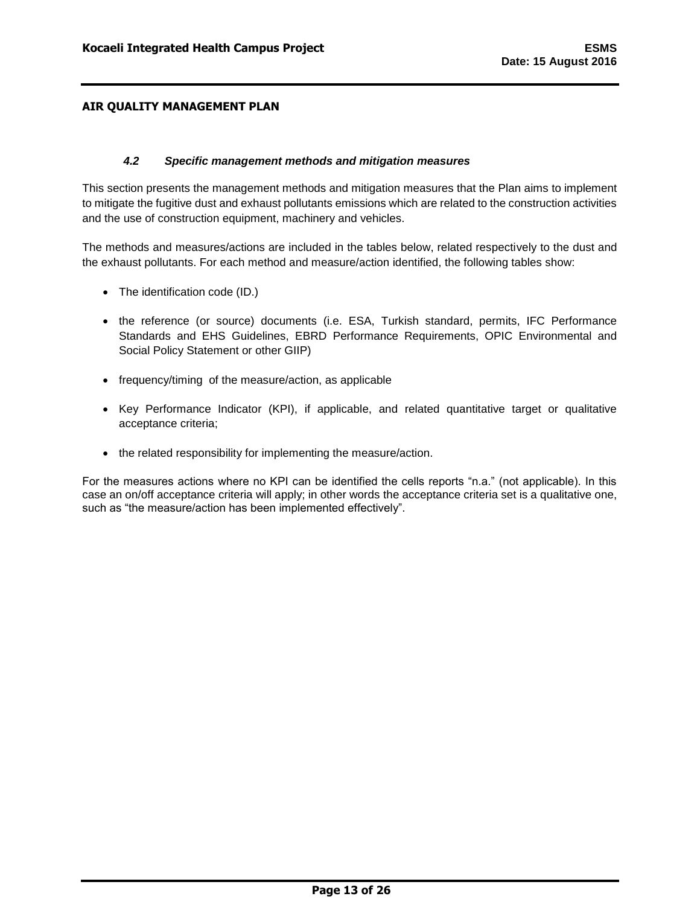### *4.2 Specific management methods and mitigation measures*

<span id="page-13-0"></span>This section presents the management methods and mitigation measures that the Plan aims to implement to mitigate the fugitive dust and exhaust pollutants emissions which are related to the construction activities and the use of construction equipment, machinery and vehicles.

The methods and measures/actions are included in the tables below, related respectively to the dust and the exhaust pollutants. For each method and measure/action identified, the following tables show:

- The identification code (ID.)
- the reference (or source) documents (i.e. ESA, Turkish standard, permits, IFC Performance Standards and EHS Guidelines, EBRD Performance Requirements, OPIC Environmental and Social Policy Statement or other GIIP)
- frequency/timing of the measure/action, as applicable
- Key Performance Indicator (KPI), if applicable, and related quantitative target or qualitative acceptance criteria;
- the related responsibility for implementing the measure/action.

For the measures actions where no KPI can be identified the cells reports "n.a." (not applicable). In this case an on/off acceptance criteria will apply; in other words the acceptance criteria set is a qualitative one, such as "the measure/action has been implemented effectively".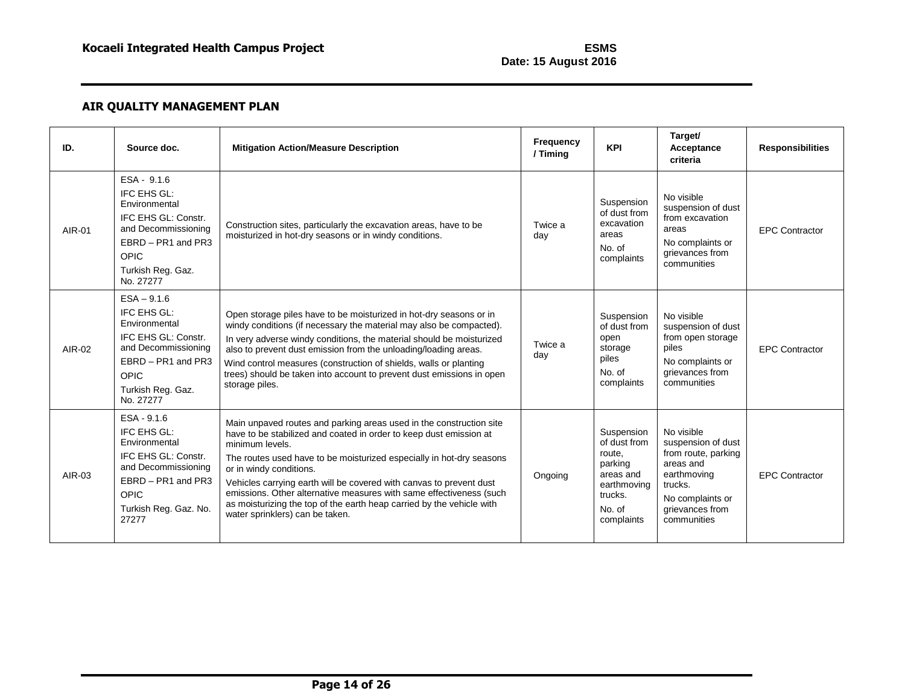| ID.    | Source doc.                                                                                                                                                        | <b>Mitigation Action/Measure Description</b>                                                                                                                                                                                                                                                                                                                                                                                                                                                                              | <b>Frequency</b><br>/ Timing | <b>KPI</b>                                                                                                     | Target/<br>Acceptance<br>criteria                                                                                                                    | <b>Responsibilities</b> |
|--------|--------------------------------------------------------------------------------------------------------------------------------------------------------------------|---------------------------------------------------------------------------------------------------------------------------------------------------------------------------------------------------------------------------------------------------------------------------------------------------------------------------------------------------------------------------------------------------------------------------------------------------------------------------------------------------------------------------|------------------------------|----------------------------------------------------------------------------------------------------------------|------------------------------------------------------------------------------------------------------------------------------------------------------|-------------------------|
| AIR-01 | ESA - 9.1.6<br>IFC EHS GL:<br>Environmental<br>IFC EHS GL: Constr.<br>and Decommissioning<br>EBRD - PR1 and PR3<br><b>OPIC</b><br>Turkish Reg. Gaz.<br>No. 27277   | Construction sites, particularly the excavation areas, have to be<br>moisturized in hot-dry seasons or in windy conditions.                                                                                                                                                                                                                                                                                                                                                                                               | Twice a<br>day               | Suspension<br>of dust from<br>excavation<br>areas<br>No. of<br>complaints                                      | No visible<br>suspension of dust<br>from excavation<br>areas<br>No complaints or<br>grievances from<br>communities                                   | <b>EPC Contractor</b>   |
| AIR-02 | $ESA - 9.1.6$<br>IFC EHS GL:<br>Environmental<br>IFC EHS GL: Constr.<br>and Decommissioning<br>EBRD - PR1 and PR3<br><b>OPIC</b><br>Turkish Reg. Gaz.<br>No. 27277 | Open storage piles have to be moisturized in hot-dry seasons or in<br>windy conditions (if necessary the material may also be compacted).<br>In very adverse windy conditions, the material should be moisturized<br>also to prevent dust emission from the unloading/loading areas.<br>Wind control measures (construction of shields, walls or planting<br>trees) should be taken into account to prevent dust emissions in open<br>storage piles.                                                                      | Twice a<br>day               | Suspension<br>of dust from<br>open<br>storage<br>piles<br>No. of<br>complaints                                 | No visible<br>suspension of dust<br>from open storage<br>piles<br>No complaints or<br>grievances from<br>communities                                 | <b>EPC Contractor</b>   |
| AIR-03 | $ESA - 9.1.6$<br>IFC EHS GL:<br>Environmental<br>IFC EHS GL: Constr.<br>and Decommissioning<br>EBRD - PR1 and PR3<br><b>OPIC</b><br>Turkish Reg. Gaz. No.<br>27277 | Main unpaved routes and parking areas used in the construction site<br>have to be stabilized and coated in order to keep dust emission at<br>minimum levels.<br>The routes used have to be moisturized especially in hot-dry seasons<br>or in windy conditions.<br>Vehicles carrying earth will be covered with canvas to prevent dust<br>emissions. Other alternative measures with same effectiveness (such<br>as moisturizing the top of the earth heap carried by the vehicle with<br>water sprinklers) can be taken. | Ongoing                      | Suspension<br>of dust from<br>route.<br>parking<br>areas and<br>earthmoving<br>trucks.<br>No. of<br>complaints | No visible<br>suspension of dust<br>from route, parking<br>areas and<br>earthmoving<br>trucks.<br>No complaints or<br>grievances from<br>communities | <b>EPC Contractor</b>   |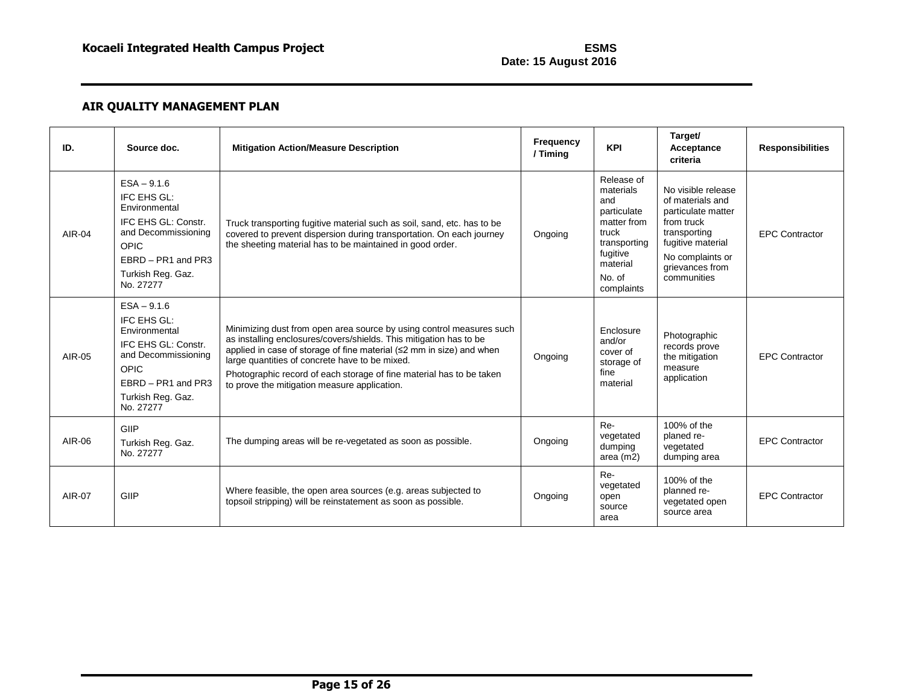| ID.    | Source doc.                                                                                                                                                 | <b>Mitigation Action/Measure Description</b>                                                                                                                                                                                                                                                                                                                                                 | Frequency<br>/ Timing | <b>KPI</b>                                                                                                                            | Target/<br>Acceptance<br>criteria                                                                                                                                     | <b>Responsibilities</b> |
|--------|-------------------------------------------------------------------------------------------------------------------------------------------------------------|----------------------------------------------------------------------------------------------------------------------------------------------------------------------------------------------------------------------------------------------------------------------------------------------------------------------------------------------------------------------------------------------|-----------------------|---------------------------------------------------------------------------------------------------------------------------------------|-----------------------------------------------------------------------------------------------------------------------------------------------------------------------|-------------------------|
| AIR-04 | $ESA - 9.1.6$<br>IFC EHS GL:<br>Environmental<br>IFC EHS GL: Constr.<br>and Decommissioning<br>OPIC<br>EBRD - PR1 and PR3<br>Turkish Reg. Gaz.<br>No. 27277 | Truck transporting fugitive material such as soil, sand, etc. has to be<br>covered to prevent dispersion during transportation. On each journey<br>the sheeting material has to be maintained in good order.                                                                                                                                                                                 | Ongoing               | Release of<br>materials<br>and<br>particulate<br>matter from<br>truck<br>transporting<br>fugitive<br>material<br>No. of<br>complaints | No visible release<br>of materials and<br>particulate matter<br>from truck<br>transporting<br>fugitive material<br>No complaints or<br>grievances from<br>communities | <b>EPC Contractor</b>   |
| AIR-05 | $ESA - 9.1.6$<br>IFC EHS GL:<br>Environmental<br>IFC EHS GL: Constr.<br>and Decommissioning<br>OPIC<br>EBRD - PR1 and PR3<br>Turkish Reg. Gaz.<br>No. 27277 | Minimizing dust from open area source by using control measures such<br>as installing enclosures/covers/shields. This mitigation has to be<br>applied in case of storage of fine material (≤2 mm in size) and when<br>large quantities of concrete have to be mixed.<br>Photographic record of each storage of fine material has to be taken<br>to prove the mitigation measure application. | Ongoing               | Enclosure<br>and/or<br>cover of<br>storage of<br>fine<br>material                                                                     | Photographic<br>records prove<br>the mitigation<br>measure<br>application                                                                                             | <b>EPC Contractor</b>   |
| AIR-06 | GIIP<br>Turkish Reg. Gaz.<br>No. 27277                                                                                                                      | The dumping areas will be re-vegetated as soon as possible.                                                                                                                                                                                                                                                                                                                                  | Ongoing               | Re-<br>vegetated<br>dumping<br>area $(m2)$                                                                                            | 100% of the<br>planed re-<br>vegetated<br>dumping area                                                                                                                | <b>EPC Contractor</b>   |
| AIR-07 | GIIP                                                                                                                                                        | Where feasible, the open area sources (e.g. areas subjected to<br>topsoil stripping) will be reinstatement as soon as possible.                                                                                                                                                                                                                                                              | Ongoing               | Re-<br>vegetated<br>open<br>source<br>area                                                                                            | 100% of the<br>planned re-<br>vegetated open<br>source area                                                                                                           | <b>EPC Contractor</b>   |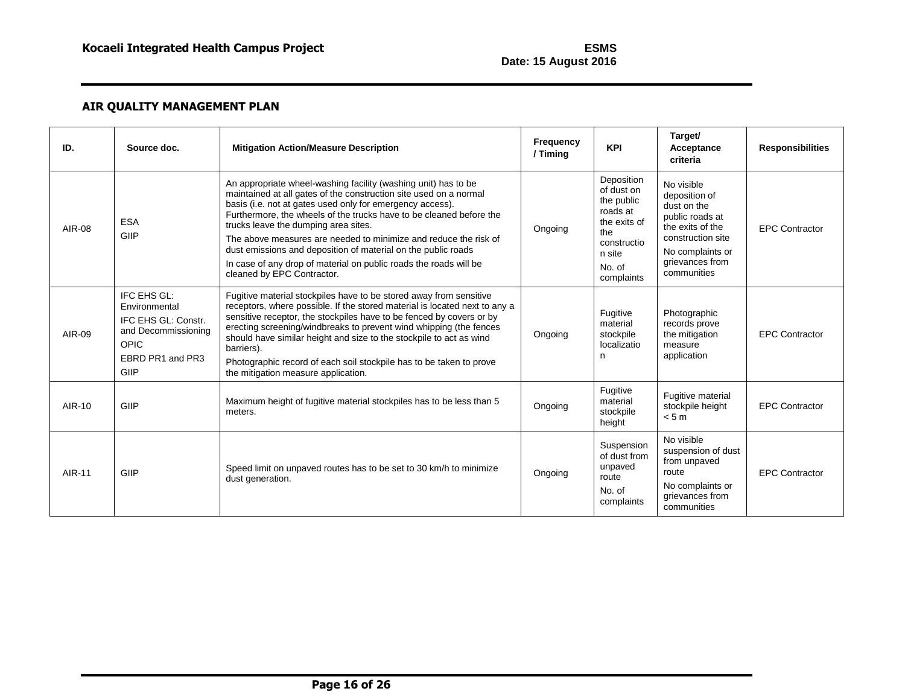| ID.           | Source doc.                                                                                                    | <b>Mitigation Action/Measure Description</b>                                                                                                                                                                                                                                                                                                                                                                                                                                                                                                            | Frequency<br>/ Timing | <b>KPI</b>                                                                                                                 | Target/<br>Acceptance<br>criteria                                                                                                                            | <b>Responsibilities</b> |
|---------------|----------------------------------------------------------------------------------------------------------------|---------------------------------------------------------------------------------------------------------------------------------------------------------------------------------------------------------------------------------------------------------------------------------------------------------------------------------------------------------------------------------------------------------------------------------------------------------------------------------------------------------------------------------------------------------|-----------------------|----------------------------------------------------------------------------------------------------------------------------|--------------------------------------------------------------------------------------------------------------------------------------------------------------|-------------------------|
| AIR-08        | <b>ESA</b><br>GIIP                                                                                             | An appropriate wheel-washing facility (washing unit) has to be<br>maintained at all gates of the construction site used on a normal<br>basis (i.e. not at gates used only for emergency access).<br>Furthermore, the wheels of the trucks have to be cleaned before the<br>trucks leave the dumping area sites.<br>The above measures are needed to minimize and reduce the risk of<br>dust emissions and deposition of material on the public roads<br>In case of any drop of material on public roads the roads will be<br>cleaned by EPC Contractor. | Ongoing               | Deposition<br>of dust on<br>the public<br>roads at<br>the exits of<br>the<br>constructio<br>n site<br>No. of<br>complaints | No visible<br>deposition of<br>dust on the<br>public roads at<br>the exits of the<br>construction site<br>No complaints or<br>grievances from<br>communities | <b>EPC Contractor</b>   |
| AIR-09        | IFC EHS GL:<br>Environmental<br>IFC EHS GL: Constr.<br>and Decommissioning<br>OPIC<br>EBRD PR1 and PR3<br>GIIP | Fugitive material stockpiles have to be stored away from sensitive<br>receptors, where possible. If the stored material is located next to any a<br>sensitive receptor, the stockpiles have to be fenced by covers or by<br>erecting screening/windbreaks to prevent wind whipping (the fences<br>should have similar height and size to the stockpile to act as wind<br>barriers).<br>Photographic record of each soil stockpile has to be taken to prove<br>the mitigation measure application.                                                       | Ongoing               | Fugitive<br>material<br>stockpile<br>localizatio<br>n                                                                      | Photographic<br>records prove<br>the mitigation<br>measure<br>application                                                                                    | <b>EPC Contractor</b>   |
| <b>AIR-10</b> | GIIP                                                                                                           | Maximum height of fugitive material stockpiles has to be less than 5<br>meters.                                                                                                                                                                                                                                                                                                                                                                                                                                                                         | Ongoing               | Fugitive<br>material<br>stockpile<br>height                                                                                | Fugitive material<br>stockpile height<br>< 5m                                                                                                                | <b>EPC Contractor</b>   |
| AIR-11        | GIIP                                                                                                           | Speed limit on unpaved routes has to be set to 30 km/h to minimize<br>dust generation.                                                                                                                                                                                                                                                                                                                                                                                                                                                                  | Ongoing               | Suspension<br>of dust from<br>unpaved<br>route<br>No. of<br>complaints                                                     | No visible<br>suspension of dust<br>from unpaved<br>route<br>No complaints or<br>grievances from<br>communities                                              | <b>EPC Contractor</b>   |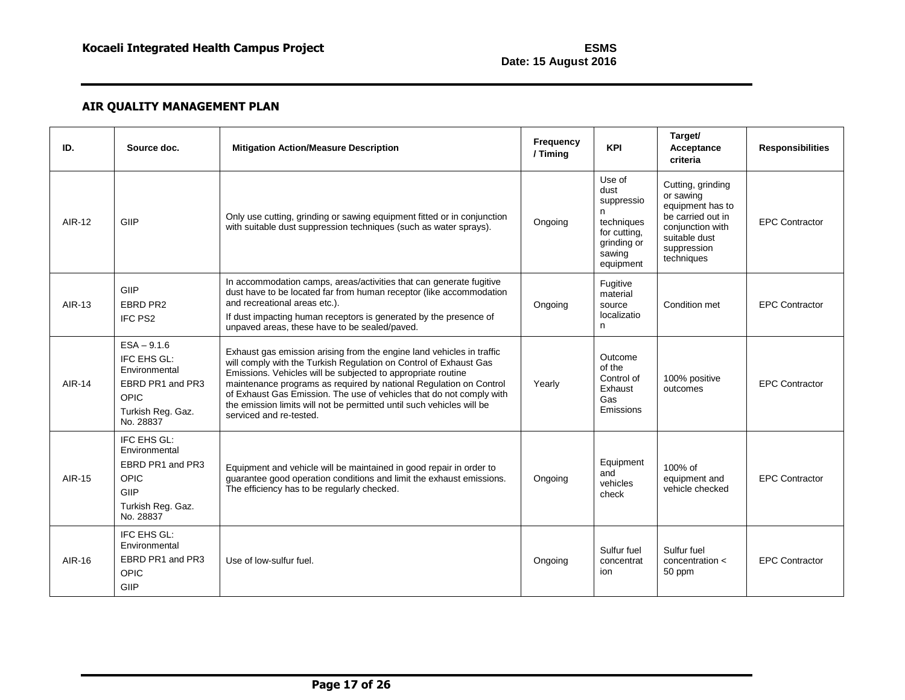| ID.    | Source doc.                                                                                                        | <b>Mitigation Action/Measure Description</b>                                                                                                                                                                                                                                                                                                                                                                                                                 | Frequency<br>/ Timing | <b>KPI</b>                                                                                            | Target/<br>Acceptance<br>criteria                                                                                                         | <b>Responsibilities</b> |
|--------|--------------------------------------------------------------------------------------------------------------------|--------------------------------------------------------------------------------------------------------------------------------------------------------------------------------------------------------------------------------------------------------------------------------------------------------------------------------------------------------------------------------------------------------------------------------------------------------------|-----------------------|-------------------------------------------------------------------------------------------------------|-------------------------------------------------------------------------------------------------------------------------------------------|-------------------------|
| AIR-12 | GIIP                                                                                                               | Only use cutting, grinding or sawing equipment fitted or in conjunction<br>with suitable dust suppression techniques (such as water sprays).                                                                                                                                                                                                                                                                                                                 | Ongoing               | Use of<br>dust<br>suppressio<br>n<br>techniques<br>for cutting.<br>grinding or<br>sawing<br>equipment | Cutting, grinding<br>or sawing<br>equipment has to<br>be carried out in<br>conjunction with<br>suitable dust<br>suppression<br>techniques | <b>EPC Contractor</b>   |
| AIR-13 | GIIP<br>EBRD PR2<br>IFC PS2                                                                                        | In accommodation camps, areas/activities that can generate fugitive<br>dust have to be located far from human receptor (like accommodation<br>and recreational areas etc.).<br>If dust impacting human receptors is generated by the presence of<br>unpaved areas, these have to be sealed/paved.                                                                                                                                                            | Ongoing               | Fugitive<br>material<br>source<br>localizatio<br>n                                                    | Condition met                                                                                                                             | <b>EPC Contractor</b>   |
| AIR-14 | $ESA - 9.1.6$<br>IFC EHS GL:<br>Environmental<br>EBRD PR1 and PR3<br><b>OPIC</b><br>Turkish Reg. Gaz.<br>No. 28837 | Exhaust gas emission arising from the engine land vehicles in traffic<br>will comply with the Turkish Regulation on Control of Exhaust Gas<br>Emissions. Vehicles will be subjected to appropriate routine<br>maintenance programs as required by national Regulation on Control<br>of Exhaust Gas Emission. The use of vehicles that do not comply with<br>the emission limits will not be permitted until such vehicles will be<br>serviced and re-tested. | Yearly                | Outcome<br>of the<br>Control of<br>Exhaust<br>Gas<br>Emissions                                        | 100% positive<br>outcomes                                                                                                                 | <b>EPC Contractor</b>   |
| AIR-15 | IFC EHS GL:<br>Environmental<br>EBRD PR1 and PR3<br>OPIC<br>GIIP<br>Turkish Reg. Gaz.<br>No. 28837                 | Equipment and vehicle will be maintained in good repair in order to<br>guarantee good operation conditions and limit the exhaust emissions.<br>The efficiency has to be regularly checked.                                                                                                                                                                                                                                                                   | Ongoing               | Equipment<br>and<br>vehicles<br>check                                                                 | 100% of<br>equipment and<br>vehicle checked                                                                                               | <b>EPC Contractor</b>   |
| AIR-16 | IFC EHS GL:<br>Environmental<br>EBRD PR1 and PR3<br>OPIC<br>GIIP                                                   | Use of low-sulfur fuel.                                                                                                                                                                                                                                                                                                                                                                                                                                      | Ongoing               | Sulfur fuel<br>concentrat<br>ion                                                                      | Sulfur fuel<br>concentration <<br>50 ppm                                                                                                  | <b>EPC Contractor</b>   |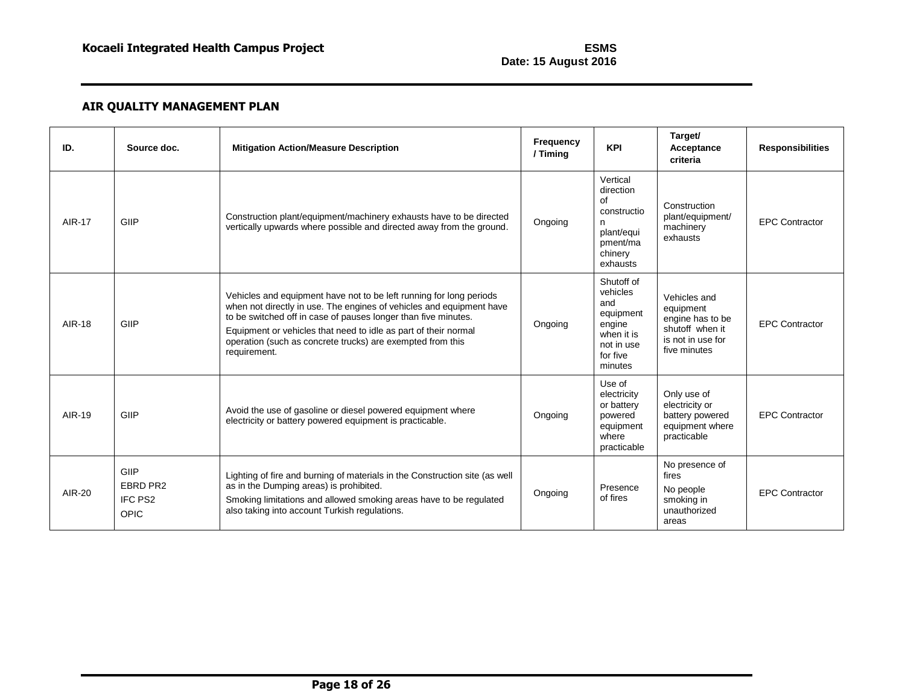| ID.           | Source doc.                         | <b>Mitigation Action/Measure Description</b>                                                                                                                                                                                                                                                                                                                   | <b>Frequency</b><br>/ Timing | <b>KPI</b>                                                                                              | Target/<br>Acceptance<br>criteria                                                                     | <b>Responsibilities</b> |
|---------------|-------------------------------------|----------------------------------------------------------------------------------------------------------------------------------------------------------------------------------------------------------------------------------------------------------------------------------------------------------------------------------------------------------------|------------------------------|---------------------------------------------------------------------------------------------------------|-------------------------------------------------------------------------------------------------------|-------------------------|
| <b>AIR-17</b> | GIIP                                | Construction plant/equipment/machinery exhausts have to be directed<br>vertically upwards where possible and directed away from the ground.                                                                                                                                                                                                                    | Ongoing                      | Vertical<br>direction<br>οf<br>constructio<br>n<br>plant/equi<br>pment/ma<br>chinery<br>exhausts        | Construction<br>plant/equipment/<br>machinery<br>exhausts                                             | <b>EPC Contractor</b>   |
| AIR-18        | GIIP                                | Vehicles and equipment have not to be left running for long periods<br>when not directly in use. The engines of vehicles and equipment have<br>to be switched off in case of pauses longer than five minutes.<br>Equipment or vehicles that need to idle as part of their normal<br>operation (such as concrete trucks) are exempted from this<br>requirement. | Ongoing                      | Shutoff of<br>vehicles<br>and<br>equipment<br>engine<br>when it is<br>not in use<br>for five<br>minutes | Vehicles and<br>equipment<br>engine has to be<br>shutoff when it<br>is not in use for<br>five minutes | <b>EPC Contractor</b>   |
| AIR-19        | GIIP                                | Avoid the use of gasoline or diesel powered equipment where<br>electricity or battery powered equipment is practicable.                                                                                                                                                                                                                                        | Ongoing                      | Use of<br>electricity<br>or battery<br>powered<br>equipment<br>where<br>practicable                     | Only use of<br>electricity or<br>battery powered<br>equipment where<br>practicable                    | <b>EPC Contractor</b>   |
| AIR-20        | GIIP<br>EBRD PR2<br>IFC PS2<br>OPIC | Lighting of fire and burning of materials in the Construction site (as well<br>as in the Dumping areas) is prohibited.<br>Smoking limitations and allowed smoking areas have to be regulated<br>also taking into account Turkish regulations.                                                                                                                  | Ongoing                      | Presence<br>of fires                                                                                    | No presence of<br>fires<br>No people<br>smoking in<br>unauthorized<br>areas                           | <b>EPC Contractor</b>   |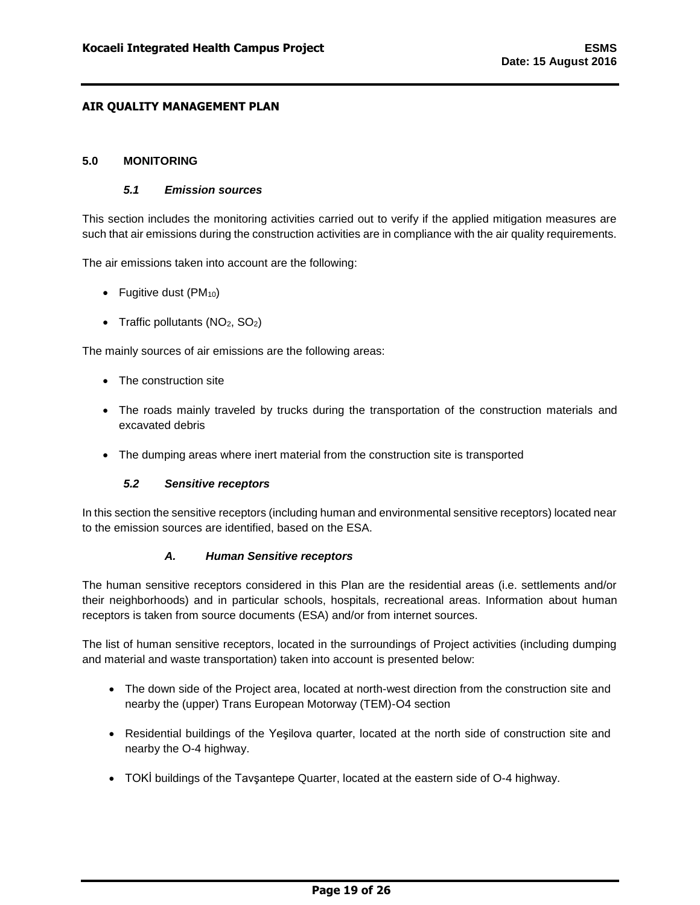### <span id="page-19-1"></span><span id="page-19-0"></span>**5.0 MONITORING**

#### *5.1 Emission sources*

This section includes the monitoring activities carried out to verify if the applied mitigation measures are such that air emissions during the construction activities are in compliance with the air quality requirements.

The air emissions taken into account are the following:

- Fugitive dust  $(PM_{10})$
- Traffic pollutants  $(NO<sub>2</sub>, SO<sub>2</sub>)$

The mainly sources of air emissions are the following areas:

- The construction site
- The roads mainly traveled by trucks during the transportation of the construction materials and excavated debris
- The dumping areas where inert material from the construction site is transported

### *5.2 Sensitive receptors*

<span id="page-19-2"></span>In this section the sensitive receptors (including human and environmental sensitive receptors) located near to the emission sources are identified, based on the ESA.

### *A. Human Sensitive receptors*

<span id="page-19-3"></span>The human sensitive receptors considered in this Plan are the residential areas (i.e. settlements and/or their neighborhoods) and in particular schools, hospitals, recreational areas. Information about human receptors is taken from source documents (ESA) and/or from internet sources.

The list of human sensitive receptors, located in the surroundings of Project activities (including dumping and material and waste transportation) taken into account is presented below:

- The down side of the Project area, located at north-west direction from the construction site and nearby the (upper) Trans European Motorway (TEM)-O4 section
- Residential buildings of the Yeşilova quarter, located at the north side of construction site and nearby the O-4 highway.
- TOKİ buildings of the Tavşantepe Quarter, located at the eastern side of O-4 highway.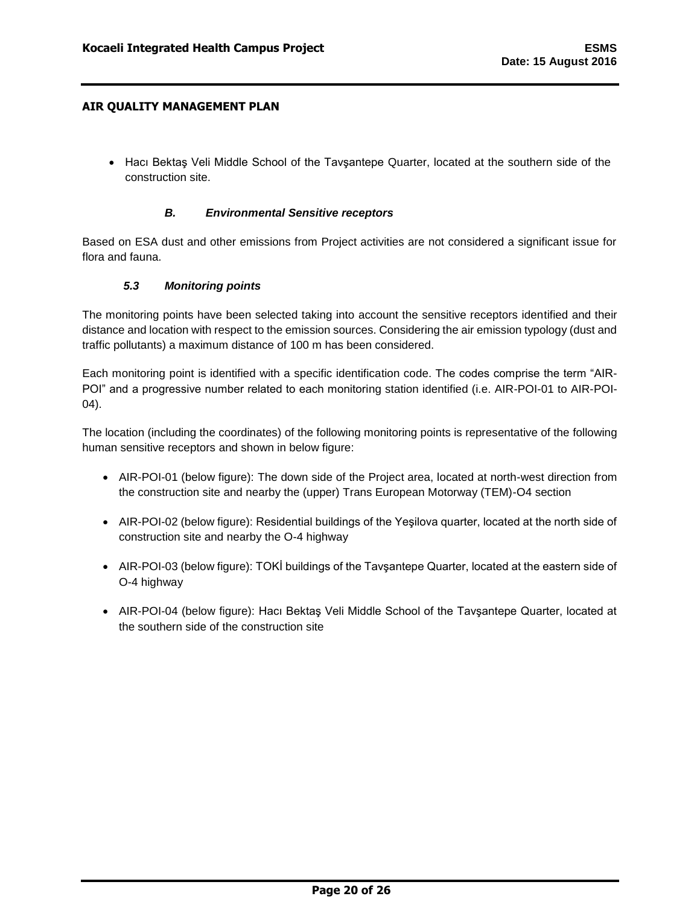• Hacı Bektaş Veli Middle School of the Tavşantepe Quarter, located at the southern side of the construction site.

#### *B. Environmental Sensitive receptors*

<span id="page-20-0"></span>Based on ESA dust and other emissions from Project activities are not considered a significant issue for flora and fauna.

## *5.3 Monitoring points*

<span id="page-20-1"></span>The monitoring points have been selected taking into account the sensitive receptors identified and their distance and location with respect to the emission sources. Considering the air emission typology (dust and traffic pollutants) a maximum distance of 100 m has been considered.

Each monitoring point is identified with a specific identification code. The codes comprise the term "AIR-POI" and a progressive number related to each monitoring station identified (i.e. AIR-POI-01 to AIR-POI-04).

The location (including the coordinates) of the following monitoring points is representative of the following human sensitive receptors and shown in below figure:

- AIR-POI-01 (below figure): The down side of the Project area, located at north-west direction from the construction site and nearby the (upper) Trans European Motorway (TEM)-O4 section
- AIR-POI-02 (below figure): Residential buildings of the Yeşilova quarter, located at the north side of construction site and nearby the O-4 highway
- AIR-POI-03 (below figure): TOKI buildings of the Tavsantepe Quarter, located at the eastern side of O-4 highway
- AIR-POI-04 (below figure): Hacı Bektaş Veli Middle School of the Tavsantepe Quarter, located at the southern side of the construction site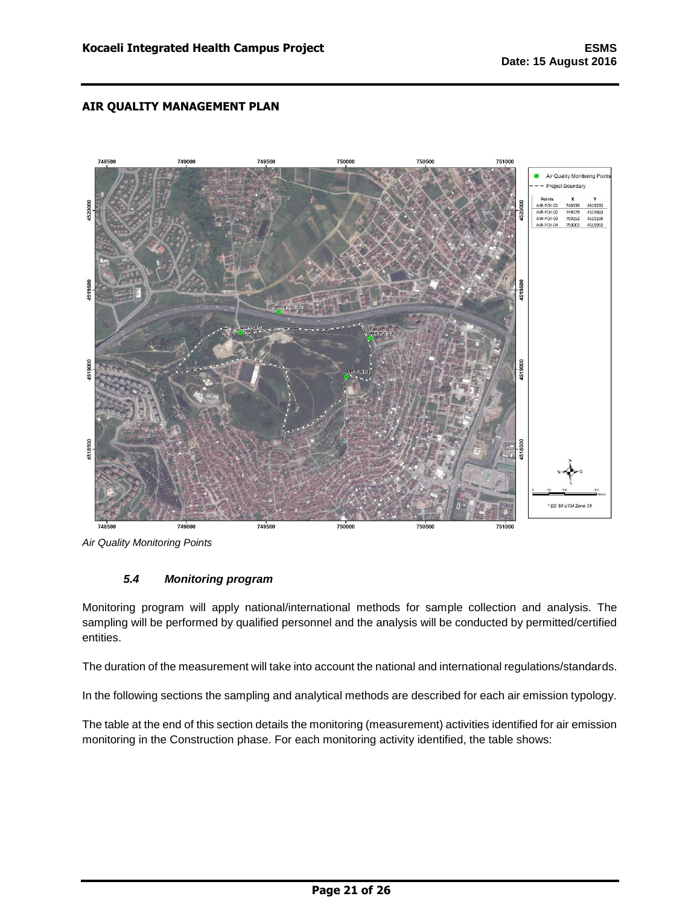

<span id="page-21-0"></span>*Air Quality Monitoring Points*

## *5.4 Monitoring program*

Monitoring program will apply national/international methods for sample collection and analysis. The sampling will be performed by qualified personnel and the analysis will be conducted by permitted/certified entities.

The duration of the measurement will take into account the national and international regulations/standards.

In the following sections the sampling and analytical methods are described for each air emission typology.

The table at the end of this section details the monitoring (measurement) activities identified for air emission monitoring in the Construction phase. For each monitoring activity identified, the table shows: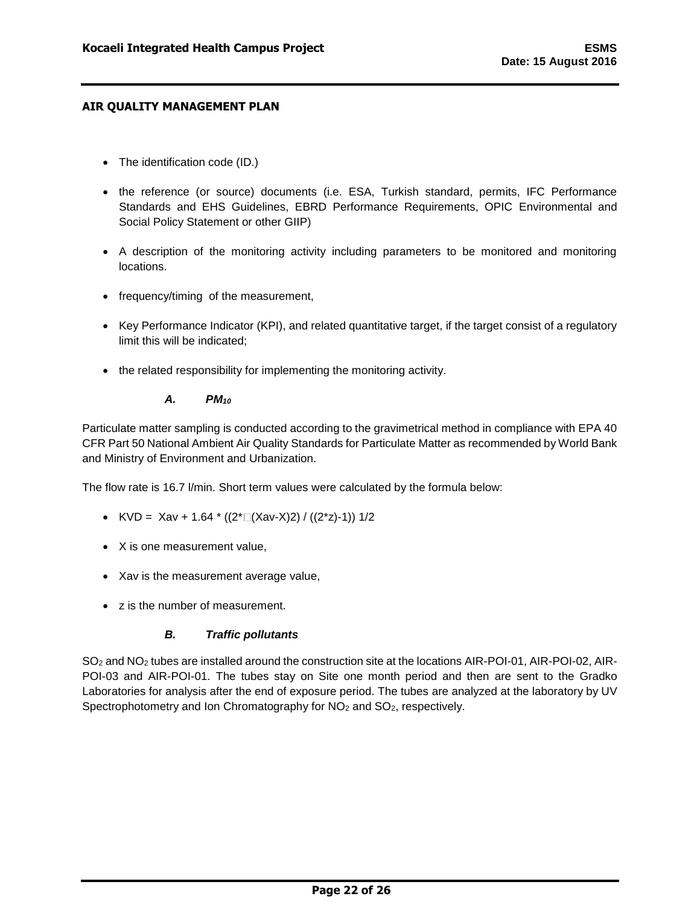- The identification code (ID.)
- the reference (or source) documents (i.e. ESA, Turkish standard, permits, IFC Performance Standards and EHS Guidelines, EBRD Performance Requirements, OPIC Environmental and Social Policy Statement or other GIIP)
- A description of the monitoring activity including parameters to be monitored and monitoring locations.
- frequency/timing of the measurement,
- Key Performance Indicator (KPI), and related quantitative target, if the target consist of a regulatory limit this will be indicated;
- the related responsibility for implementing the monitoring activity.

### *A. PM<sup>10</sup>*

<span id="page-22-0"></span>Particulate matter sampling is conducted according to the gravimetrical method in compliance with EPA 40 CFR Part 50 National Ambient Air Quality Standards for Particulate Matter as recommended by World Bank and Ministry of Environment and Urbanization.

The flow rate is 16.7 l/min. Short term values were calculated by the formula below:

- KVD = Xav + 1.64  $*(2^* \square (Xav-X)2) / ((2^*z) 1))$  1/2
- X is one measurement value,
- Xav is the measurement average value,
- z is the number of measurement.

## *B. Traffic pollutants*

<span id="page-22-1"></span>SO<sup>2</sup> and NO<sup>2</sup> tubes are installed around the construction site at the locations AIR-POI-01, AIR-POI-02, AIR-POI-03 and AIR-POI-01. The tubes stay on Site one month period and then are sent to the Gradko Laboratories for analysis after the end of exposure period. The tubes are analyzed at the laboratory by UV Spectrophotometry and Ion Chromatography for NO<sub>2</sub> and SO<sub>2</sub>, respectively.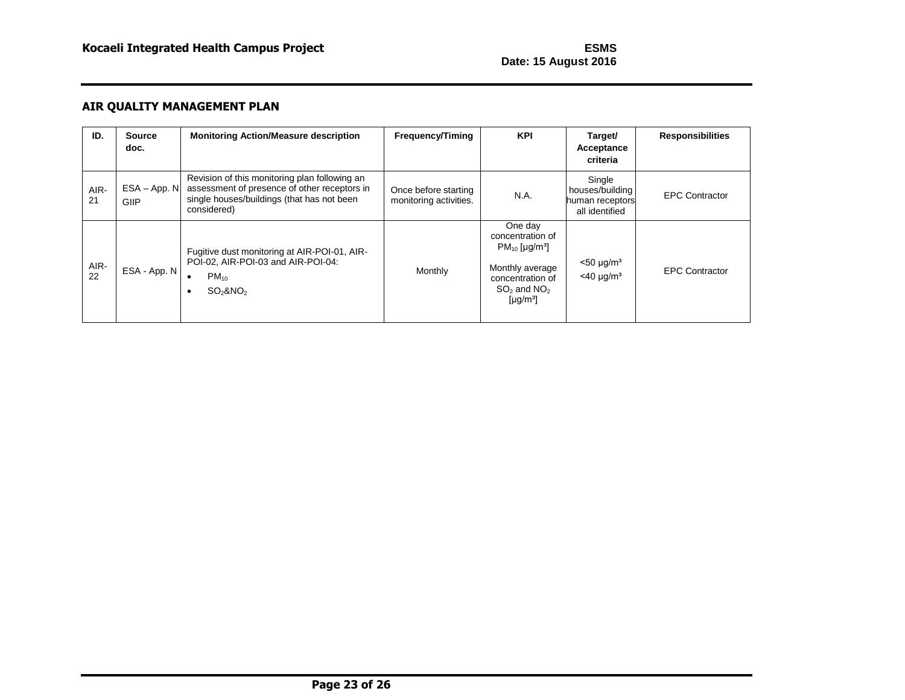| ID.        | <b>Source</b><br>doc. | <b>Monitoring Action/Measure description</b>                                                                                                               | <b>Frequency/Timing</b>                        | <b>KPI</b>                                                                                                                                                      | Target/<br>Acceptance<br>criteria                              | <b>Responsibilities</b> |
|------------|-----------------------|------------------------------------------------------------------------------------------------------------------------------------------------------------|------------------------------------------------|-----------------------------------------------------------------------------------------------------------------------------------------------------------------|----------------------------------------------------------------|-------------------------|
| AIR-<br>21 | ESA - App. N<br>GIIP  | Revision of this monitoring plan following an<br>assessment of presence of other receptors in<br>single houses/buildings (that has not been<br>considered) | Once before starting<br>monitoring activities. | N.A.                                                                                                                                                            | Single<br>houses/building<br>human receptors<br>all identified | <b>EPC Contractor</b>   |
| AIR-<br>22 | ESA - App. N          | Fugitive dust monitoring at AIR-POI-01, AIR-<br>POI-02, AIR-POI-03 and AIR-POI-04:<br>$PM_{10}$<br>$\bullet$<br>$SO2$ &NO <sub>2</sub>                     | Monthly                                        | One day<br>concentration of<br>$PM_{10}$ [µg/m <sup>3</sup> ]<br>Monthly average<br>concentration of<br>$SO2$ and NO <sub>2</sub><br>[ $\mu$ g/m <sup>3</sup> ] | $<$ 50 µg/m <sup>3</sup><br>$<$ 40 µg/m <sup>3</sup>           | <b>EPC Contractor</b>   |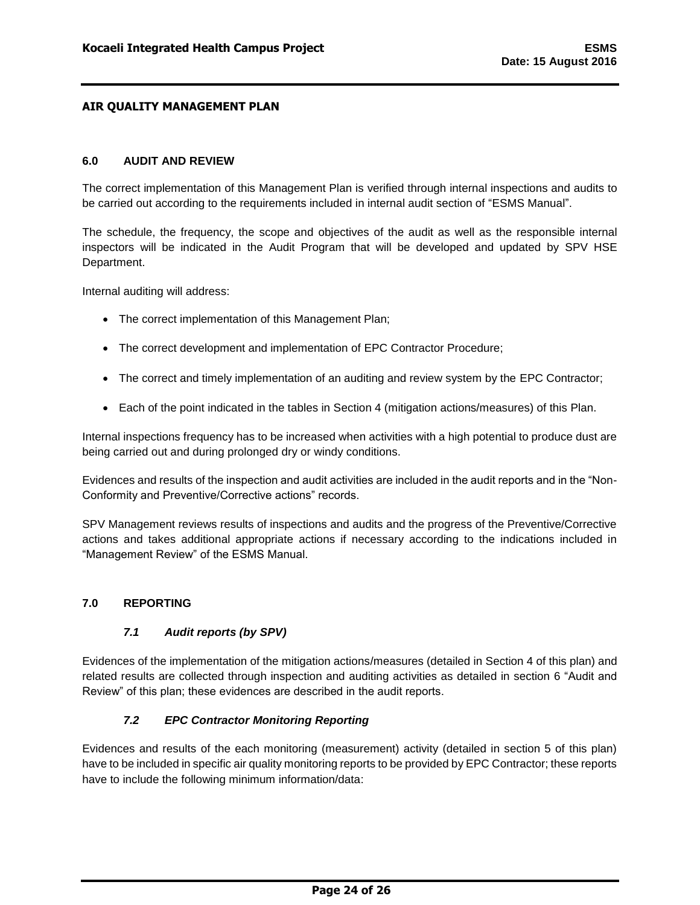### <span id="page-24-0"></span>**6.0 AUDIT AND REVIEW**

The correct implementation of this Management Plan is verified through internal inspections and audits to be carried out according to the requirements included in internal audit section of "ESMS Manual".

The schedule, the frequency, the scope and objectives of the audit as well as the responsible internal inspectors will be indicated in the Audit Program that will be developed and updated by SPV HSE Department.

Internal auditing will address:

- The correct implementation of this Management Plan;
- The correct development and implementation of EPC Contractor Procedure;
- The correct and timely implementation of an auditing and review system by the EPC Contractor;
- Each of the point indicated in the tables in Section 4 (mitigation actions/measures) of this Plan.

Internal inspections frequency has to be increased when activities with a high potential to produce dust are being carried out and during prolonged dry or windy conditions.

Evidences and results of the inspection and audit activities are included in the audit reports and in the "Non-Conformity and Preventive/Corrective actions" records.

SPV Management reviews results of inspections and audits and the progress of the Preventive/Corrective actions and takes additional appropriate actions if necessary according to the indications included in "Management Review" of the ESMS Manual.

### <span id="page-24-2"></span><span id="page-24-1"></span>**7.0 REPORTING**

### *7.1 Audit reports (by SPV)*

Evidences of the implementation of the mitigation actions/measures (detailed in Section 4 of this plan) and related results are collected through inspection and auditing activities as detailed in section 6 "Audit and Review" of this plan; these evidences are described in the audit reports.

### *7.2 EPC Contractor Monitoring Reporting*

<span id="page-24-3"></span>Evidences and results of the each monitoring (measurement) activity (detailed in section 5 of this plan) have to be included in specific air quality monitoring reports to be provided by EPC Contractor; these reports have to include the following minimum information/data: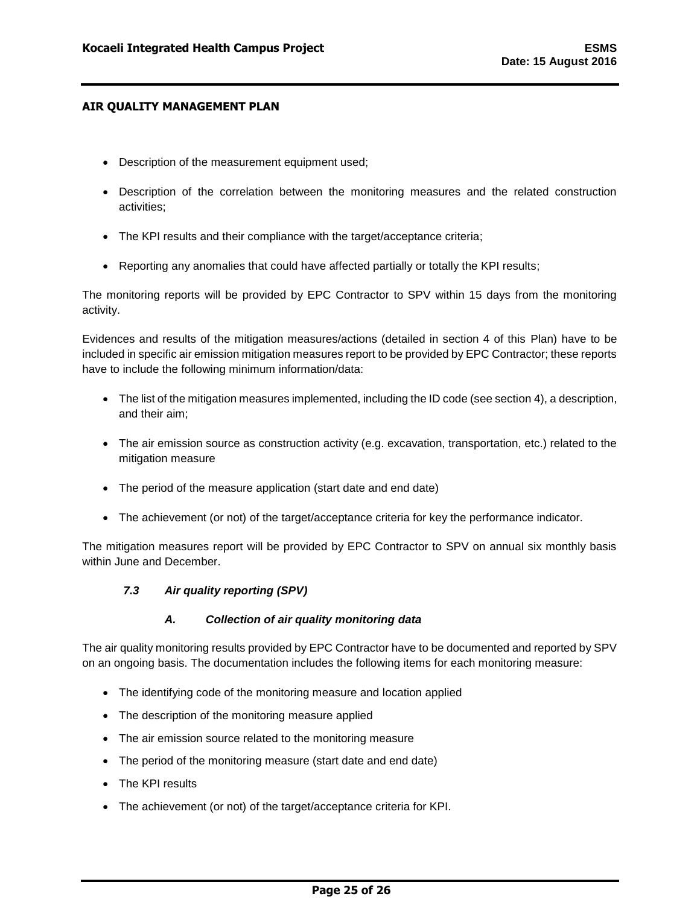- Description of the measurement equipment used;
- Description of the correlation between the monitoring measures and the related construction activities;
- The KPI results and their compliance with the target/acceptance criteria;
- Reporting any anomalies that could have affected partially or totally the KPI results;

The monitoring reports will be provided by EPC Contractor to SPV within 15 days from the monitoring activity.

Evidences and results of the mitigation measures/actions (detailed in section 4 of this Plan) have to be included in specific air emission mitigation measures report to be provided by EPC Contractor; these reports have to include the following minimum information/data:

- The list of the mitigation measures implemented, including the ID code (see section 4), a description, and their aim;
- The air emission source as construction activity (e.g. excavation, transportation, etc.) related to the mitigation measure
- The period of the measure application (start date and end date)
- The achievement (or not) of the target/acceptance criteria for key the performance indicator.

<span id="page-25-0"></span>The mitigation measures report will be provided by EPC Contractor to SPV on annual six monthly basis within June and December.

## *7.3 Air quality reporting (SPV)*

### *A. Collection of air quality monitoring data*

<span id="page-25-1"></span>The air quality monitoring results provided by EPC Contractor have to be documented and reported by SPV on an ongoing basis. The documentation includes the following items for each monitoring measure:

- The identifying code of the monitoring measure and location applied
- The description of the monitoring measure applied
- The air emission source related to the monitoring measure
- The period of the monitoring measure (start date and end date)
- The KPI results
- The achievement (or not) of the target/acceptance criteria for KPI.